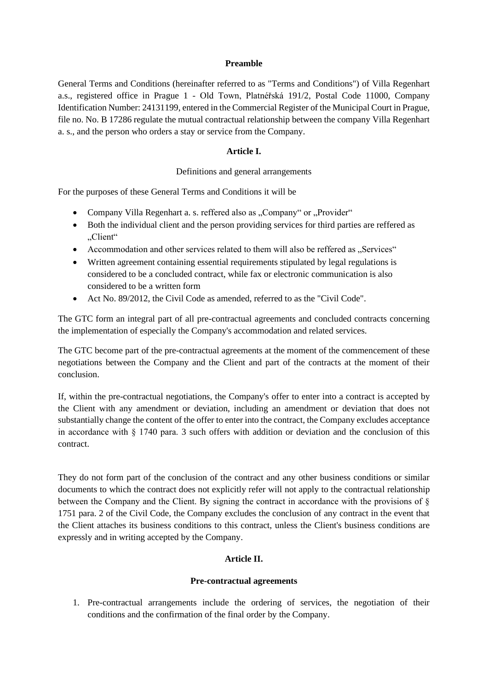### **Preamble**

General Terms and Conditions (hereinafter referred to as "Terms and Conditions") of Villa Regenhart a.s., registered office in Prague 1 - Old Town, Platnéřská 191/2, Postal Code 11000, Company Identification Number: 24131199, entered in the Commercial Register of the Municipal Court in Prague, file no. No. B 17286 regulate the mutual contractual relationship between the company Villa Regenhart a. s., and the person who orders a stay or service from the Company.

# **Article I.**

### Definitions and general arrangements

For the purposes of these General Terms and Conditions it will be

- Company Villa Regenhart a. s. reffered also as "Company" or "Provider"
- Both the individual client and the person providing services for third parties are reffered as "Client"
- Accommodation and other services related to them will also be reffered as "Services"
- Written agreement containing essential requirements stipulated by legal regulations is considered to be a concluded contract, while fax or electronic communication is also considered to be a written form
- Act No. 89/2012, the Civil Code as amended, referred to as the "Civil Code".

The GTC form an integral part of all pre-contractual agreements and concluded contracts concerning the implementation of especially the Company's accommodation and related services.

The GTC become part of the pre-contractual agreements at the moment of the commencement of these negotiations between the Company and the Client and part of the contracts at the moment of their conclusion.

If, within the pre-contractual negotiations, the Company's offer to enter into a contract is accepted by the Client with any amendment or deviation, including an amendment or deviation that does not substantially change the content of the offer to enter into the contract, the Company excludes acceptance in accordance with § 1740 para. 3 such offers with addition or deviation and the conclusion of this contract.

They do not form part of the conclusion of the contract and any other business conditions or similar documents to which the contract does not explicitly refer will not apply to the contractual relationship between the Company and the Client. By signing the contract in accordance with the provisions of  $\S$ 1751 para. 2 of the Civil Code, the Company excludes the conclusion of any contract in the event that the Client attaches its business conditions to this contract, unless the Client's business conditions are expressly and in writing accepted by the Company.

### **Article II.**

### **Pre-contractual agreements**

1. Pre-contractual arrangements include the ordering of services, the negotiation of their conditions and the confirmation of the final order by the Company.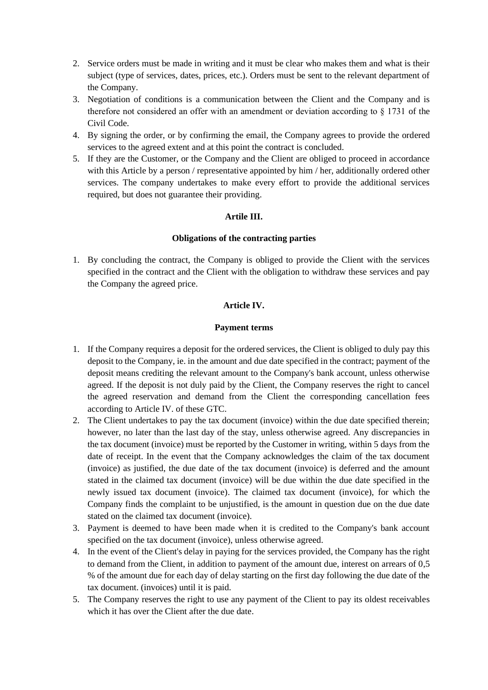- 2. Service orders must be made in writing and it must be clear who makes them and what is their subject (type of services, dates, prices, etc.). Orders must be sent to the relevant department of the Company.
- 3. Negotiation of conditions is a communication between the Client and the Company and is therefore not considered an offer with an amendment or deviation according to § 1731 of the Civil Code.
- 4. By signing the order, or by confirming the email, the Company agrees to provide the ordered services to the agreed extent and at this point the contract is concluded.
- 5. If they are the Customer, or the Company and the Client are obliged to proceed in accordance with this Article by a person / representative appointed by him / her, additionally ordered other services. The company undertakes to make every effort to provide the additional services required, but does not guarantee their providing.

## **Artile III.**

### **Obligations of the contracting parties**

1. By concluding the contract, the Company is obliged to provide the Client with the services specified in the contract and the Client with the obligation to withdraw these services and pay the Company the agreed price.

## **Article IV.**

## **Payment terms**

- 1. If the Company requires a deposit for the ordered services, the Client is obliged to duly pay this deposit to the Company, ie. in the amount and due date specified in the contract; payment of the deposit means crediting the relevant amount to the Company's bank account, unless otherwise agreed. If the deposit is not duly paid by the Client, the Company reserves the right to cancel the agreed reservation and demand from the Client the corresponding cancellation fees according to Article IV. of these GTC.
- 2. The Client undertakes to pay the tax document (invoice) within the due date specified therein; however, no later than the last day of the stay, unless otherwise agreed. Any discrepancies in the tax document (invoice) must be reported by the Customer in writing, within 5 days from the date of receipt. In the event that the Company acknowledges the claim of the tax document (invoice) as justified, the due date of the tax document (invoice) is deferred and the amount stated in the claimed tax document (invoice) will be due within the due date specified in the newly issued tax document (invoice). The claimed tax document (invoice), for which the Company finds the complaint to be unjustified, is the amount in question due on the due date stated on the claimed tax document (invoice).
- 3. Payment is deemed to have been made when it is credited to the Company's bank account specified on the tax document (invoice), unless otherwise agreed.
- 4. In the event of the Client's delay in paying for the services provided, the Company has the right to demand from the Client, in addition to payment of the amount due, interest on arrears of 0,5 % of the amount due for each day of delay starting on the first day following the due date of the tax document. (invoices) until it is paid.
- 5. The Company reserves the right to use any payment of the Client to pay its oldest receivables which it has over the Client after the due date.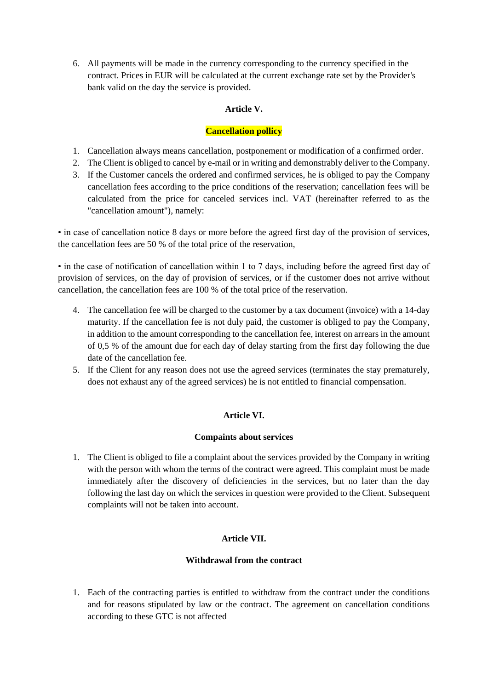6. All payments will be made in the currency corresponding to the currency specified in the contract. Prices in EUR will be calculated at the current exchange rate set by the Provider's bank valid on the day the service is provided.

# **Article V.**

# **Cancellation pollicy**

- 1. Cancellation always means cancellation, postponement or modification of a confirmed order.
- 2. The Client is obliged to cancel by e-mail or in writing and demonstrably deliver to the Company.
- 3. If the Customer cancels the ordered and confirmed services, he is obliged to pay the Company cancellation fees according to the price conditions of the reservation; cancellation fees will be calculated from the price for canceled services incl. VAT (hereinafter referred to as the "cancellation amount"), namely:

• in case of cancellation notice 8 days or more before the agreed first day of the provision of services, the cancellation fees are 50 % of the total price of the reservation,

• in the case of notification of cancellation within 1 to 7 days, including before the agreed first day of provision of services, on the day of provision of services, or if the customer does not arrive without cancellation, the cancellation fees are 100 % of the total price of the reservation.

- 4. The cancellation fee will be charged to the customer by a tax document (invoice) with a 14-day maturity. If the cancellation fee is not duly paid, the customer is obliged to pay the Company, in addition to the amount corresponding to the cancellation fee, interest on arrears in the amount of 0,5 % of the amount due for each day of delay starting from the first day following the due date of the cancellation fee.
- 5. If the Client for any reason does not use the agreed services (terminates the stay prematurely, does not exhaust any of the agreed services) he is not entitled to financial compensation.

# **Article VI.**

# **Compaints about services**

1. The Client is obliged to file a complaint about the services provided by the Company in writing with the person with whom the terms of the contract were agreed. This complaint must be made immediately after the discovery of deficiencies in the services, but no later than the day following the last day on which the services in question were provided to the Client. Subsequent complaints will not be taken into account.

# **Article VII.**

# **Withdrawal from the contract**

1. Each of the contracting parties is entitled to withdraw from the contract under the conditions and for reasons stipulated by law or the contract. The agreement on cancellation conditions according to these GTC is not affected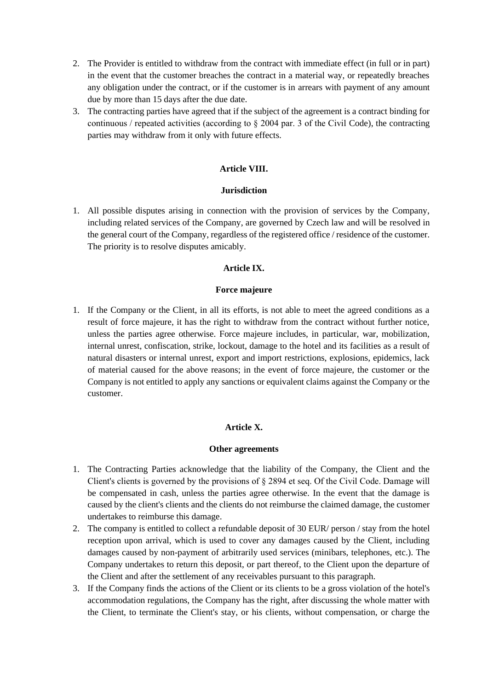- 2. The Provider is entitled to withdraw from the contract with immediate effect (in full or in part) in the event that the customer breaches the contract in a material way, or repeatedly breaches any obligation under the contract, or if the customer is in arrears with payment of any amount due by more than 15 days after the due date.
- 3. The contracting parties have agreed that if the subject of the agreement is a contract binding for continuous / repeated activities (according to  $\S 2004$  par. 3 of the Civil Code), the contracting parties may withdraw from it only with future effects.

## **Article VIII.**

### **Jurisdiction**

1. All possible disputes arising in connection with the provision of services by the Company, including related services of the Company, are governed by Czech law and will be resolved in the general court of the Company, regardless of the registered office / residence of the customer. The priority is to resolve disputes amicably.

### **Article IX.**

#### **Force majeure**

1. If the Company or the Client, in all its efforts, is not able to meet the agreed conditions as a result of force majeure, it has the right to withdraw from the contract without further notice, unless the parties agree otherwise. Force majeure includes, in particular, war, mobilization, internal unrest, confiscation, strike, lockout, damage to the hotel and its facilities as a result of natural disasters or internal unrest, export and import restrictions, explosions, epidemics, lack of material caused for the above reasons; in the event of force majeure, the customer or the Company is not entitled to apply any sanctions or equivalent claims against the Company or the customer.

## **Article X.**

#### **Other agreements**

- 1. The Contracting Parties acknowledge that the liability of the Company, the Client and the Client's clients is governed by the provisions of § 2894 et seq. Of the Civil Code. Damage will be compensated in cash, unless the parties agree otherwise. In the event that the damage is caused by the client's clients and the clients do not reimburse the claimed damage, the customer undertakes to reimburse this damage.
- 2. The company is entitled to collect a refundable deposit of 30 EUR/ person / stay from the hotel reception upon arrival, which is used to cover any damages caused by the Client, including damages caused by non-payment of arbitrarily used services (minibars, telephones, etc.). The Company undertakes to return this deposit, or part thereof, to the Client upon the departure of the Client and after the settlement of any receivables pursuant to this paragraph.
- 3. If the Company finds the actions of the Client or its clients to be a gross violation of the hotel's accommodation regulations, the Company has the right, after discussing the whole matter with the Client, to terminate the Client's stay, or his clients, without compensation, or charge the